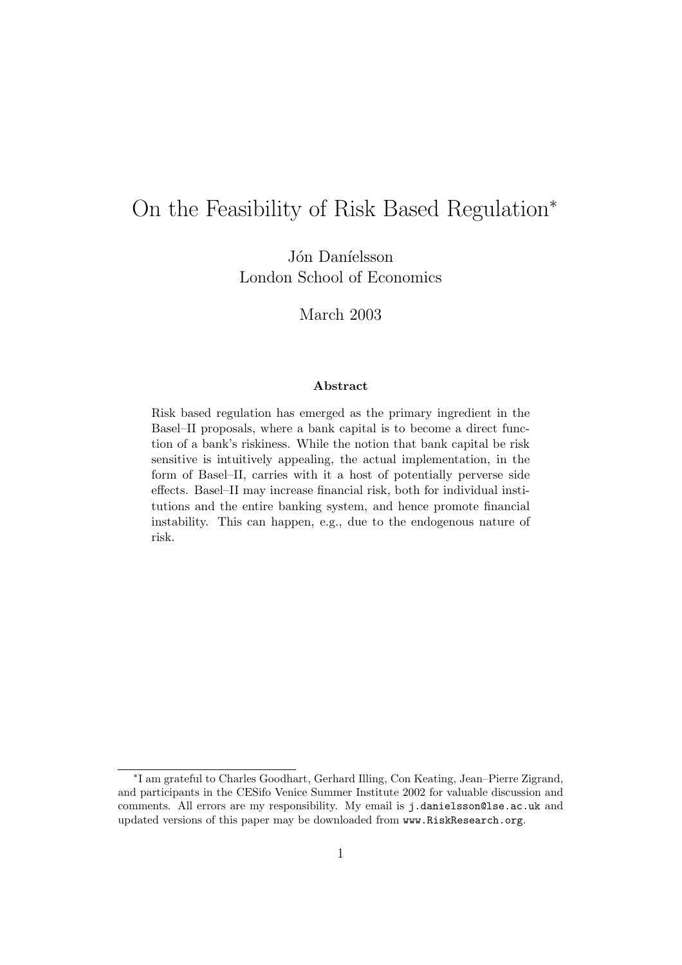# On the Feasibility of Risk Based Regulation<sup>∗</sup>

Jón Daníelsson London School of Economics

March 2003

#### **Abstract**

Risk based regulation has emerged as the primary ingredient in the Basel–II proposals, where a bank capital is to become a direct function of a bank's riskiness. While the notion that bank capital be risk sensitive is intuitively appealing, the actual implementation, in the form of Basel–II, carries with it a host of potentially perverse side effects. Basel–II may increase financial risk, both for individual institutions and the entire banking system, and hence promote financial instability. This can happen, e.g., due to the endogenous nature of risk.

<sup>∗</sup>I am grateful to Charles Goodhart, Gerhard Illing, Con Keating, Jean–Pierre Zigrand, and participants in the CESifo Venice Summer Institute 2002 for valuable discussion and comments. All errors are my responsibility. My email is j.danielsson@lse.ac.uk and updated versions of this paper may be downloaded from www.RiskResearch.org.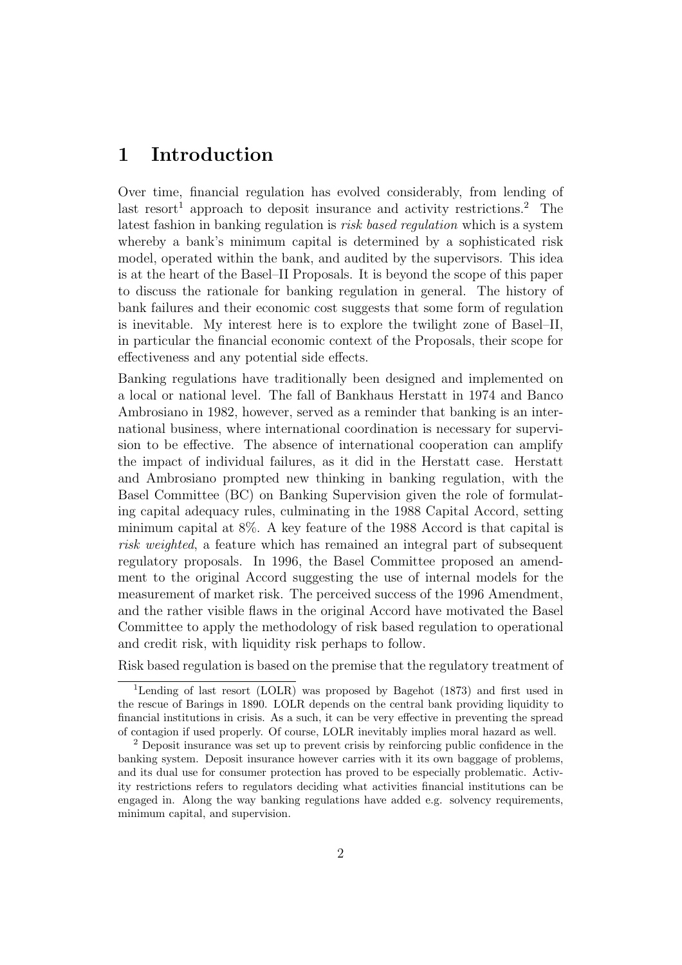### **1 Introduction**

Over time, financial regulation has evolved considerably, from lending of last resort<sup>1</sup> approach to deposit insurance and activity restrictions.<sup>2</sup> The latest fashion in banking regulation is *risk based regulation* which is a system whereby a bank's minimum capital is determined by a sophisticated risk model, operated within the bank, and audited by the supervisors. This idea is at the heart of the Basel–II Proposals. It is beyond the scope of this paper to discuss the rationale for banking regulation in general. The history of bank failures and their economic cost suggests that some form of regulation is inevitable. My interest here is to explore the twilight zone of Basel–II, in particular the financial economic context of the Proposals, their scope for effectiveness and any potential side effects.

Banking regulations have traditionally been designed and implemented on a local or national level. The fall of Bankhaus Herstatt in 1974 and Banco Ambrosiano in 1982, however, served as a reminder that banking is an international business, where international coordination is necessary for supervision to be effective. The absence of international cooperation can amplify the impact of individual failures, as it did in the Herstatt case. Herstatt and Ambrosiano prompted new thinking in banking regulation, with the Basel Committee (BC) on Banking Supervision given the role of formulating capital adequacy rules, culminating in the 1988 Capital Accord, setting minimum capital at 8%. A key feature of the 1988 Accord is that capital is *risk weighted*, a feature which has remained an integral part of subsequent regulatory proposals. In 1996, the Basel Committee proposed an amendment to the original Accord suggesting the use of internal models for the measurement of market risk. The perceived success of the 1996 Amendment, and the rather visible flaws in the original Accord have motivated the Basel Committee to apply the methodology of risk based regulation to operational and credit risk, with liquidity risk perhaps to follow.

Risk based regulation is based on the premise that the regulatory treatment of

<sup>&</sup>lt;sup>1</sup>Lending of last resort (LOLR) was proposed by Bagehot (1873) and first used in the rescue of Barings in 1890. LOLR depends on the central bank providing liquidity to financial institutions in crisis. As a such, it can be very effective in preventing the spread of contagion if used properly. Of course, LOLR inevitably implies moral hazard as well.

<sup>2</sup> Deposit insurance was set up to prevent crisis by reinforcing public confidence in the banking system. Deposit insurance however carries with it its own baggage of problems, and its dual use for consumer protection has proved to be especially problematic. Activity restrictions refers to regulators deciding what activities financial institutions can be engaged in. Along the way banking regulations have added e.g. solvency requirements, minimum capital, and supervision.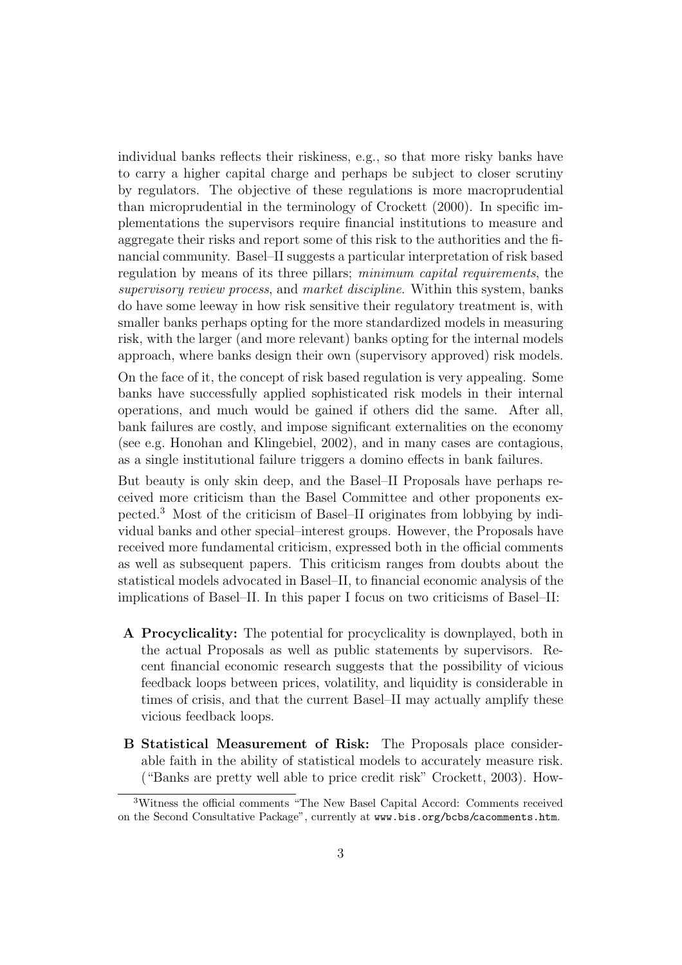individual banks reflects their riskiness, e.g., so that more risky banks have to carry a higher capital charge and perhaps be subject to closer scrutiny by regulators. The objective of these regulations is more macroprudential than microprudential in the terminology of Crockett (2000). In specific implementations the supervisors require financial institutions to measure and aggregate their risks and report some of this risk to the authorities and the financial community. Basel–II suggests a particular interpretation of risk based regulation by means of its three pillars; *minimum capital requirements*, the *supervisory review process*, and *market discipline*. Within this system, banks do have some leeway in how risk sensitive their regulatory treatment is, with smaller banks perhaps opting for the more standardized models in measuring risk, with the larger (and more relevant) banks opting for the internal models approach, where banks design their own (supervisory approved) risk models.

On the face of it, the concept of risk based regulation is very appealing. Some banks have successfully applied sophisticated risk models in their internal operations, and much would be gained if others did the same. After all, bank failures are costly, and impose significant externalities on the economy (see e.g. Honohan and Klingebiel, 2002), and in many cases are contagious, as a single institutional failure triggers a domino effects in bank failures.

But beauty is only skin deep, and the Basel–II Proposals have perhaps received more criticism than the Basel Committee and other proponents expected.<sup>3</sup> Most of the criticism of Basel–II originates from lobbying by individual banks and other special–interest groups. However, the Proposals have received more fundamental criticism, expressed both in the official comments as well as subsequent papers. This criticism ranges from doubts about the statistical models advocated in Basel–II, to financial economic analysis of the implications of Basel–II. In this paper I focus on two criticisms of Basel–II:

- **A Procyclicality:** The potential for procyclicality is downplayed, both in the actual Proposals as well as public statements by supervisors. Recent financial economic research suggests that the possibility of vicious feedback loops between prices, volatility, and liquidity is considerable in times of crisis, and that the current Basel–II may actually amplify these vicious feedback loops.
- **B Statistical Measurement of Risk:** The Proposals place considerable faith in the ability of statistical models to accurately measure risk. ("Banks are pretty well able to price credit risk" Crockett, 2003). How-

<sup>3</sup>Witness the official comments "The New Basel Capital Accord: Comments received on the Second Consultative Package", currently at www.bis.org/bcbs/cacomments.htm.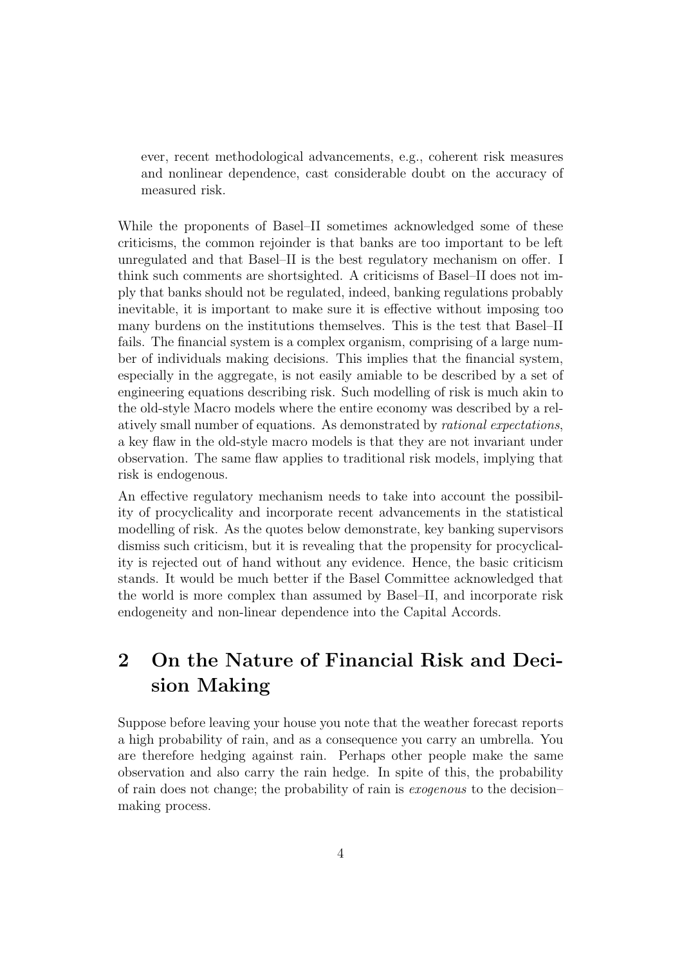ever, recent methodological advancements, e.g., coherent risk measures and nonlinear dependence, cast considerable doubt on the accuracy of measured risk.

While the proponents of Basel–II sometimes acknowledged some of these criticisms, the common rejoinder is that banks are too important to be left unregulated and that Basel–II is the best regulatory mechanism on offer. I think such comments are shortsighted. A criticisms of Basel–II does not imply that banks should not be regulated, indeed, banking regulations probably inevitable, it is important to make sure it is effective without imposing too many burdens on the institutions themselves. This is the test that Basel–II fails. The financial system is a complex organism, comprising of a large number of individuals making decisions. This implies that the financial system, especially in the aggregate, is not easily amiable to be described by a set of engineering equations describing risk. Such modelling of risk is much akin to the old-style Macro models where the entire economy was described by a relatively small number of equations. As demonstrated by *rational expectations*, a key flaw in the old-style macro models is that they are not invariant under observation. The same flaw applies to traditional risk models, implying that risk is endogenous.

An effective regulatory mechanism needs to take into account the possibility of procyclicality and incorporate recent advancements in the statistical modelling of risk. As the quotes below demonstrate, key banking supervisors dismiss such criticism, but it is revealing that the propensity for procyclicality is rejected out of hand without any evidence. Hence, the basic criticism stands. It would be much better if the Basel Committee acknowledged that the world is more complex than assumed by Basel–II, and incorporate risk endogeneity and non-linear dependence into the Capital Accords.

# **2 On the Nature of Financial Risk and Decision Making**

Suppose before leaving your house you note that the weather forecast reports a high probability of rain, and as a consequence you carry an umbrella. You are therefore hedging against rain. Perhaps other people make the same observation and also carry the rain hedge. In spite of this, the probability of rain does not change; the probability of rain is *exogenous* to the decision– making process.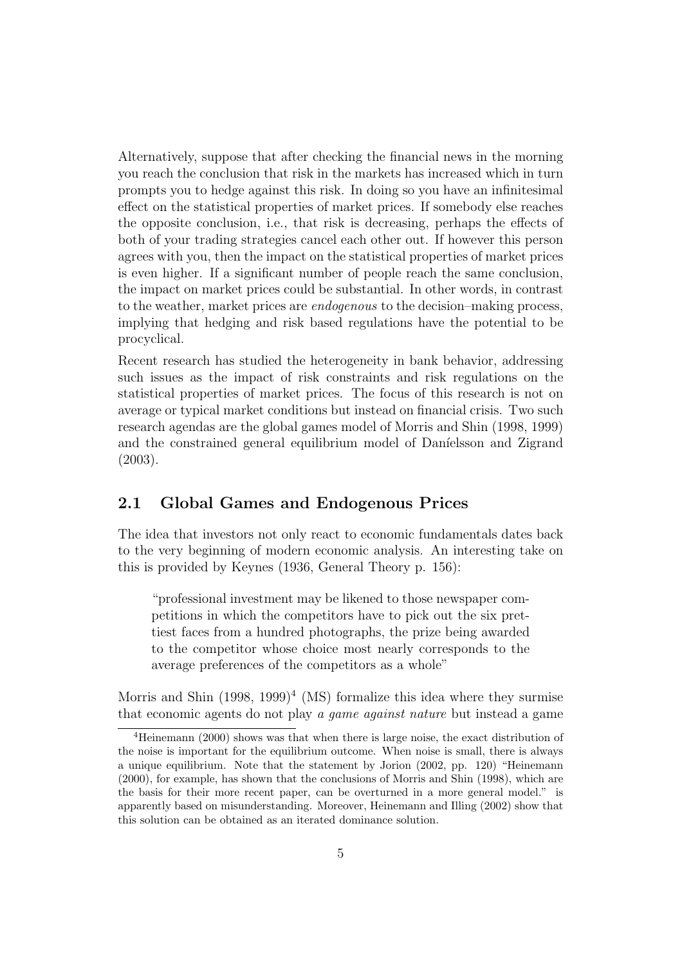Alternatively, suppose that after checking the financial news in the morning you reach the conclusion that risk in the markets has increased which in turn prompts you to hedge against this risk. In doing so you have an infinitesimal effect on the statistical properties of market prices. If somebody else reaches the opposite conclusion, i.e., that risk is decreasing, perhaps the effects of both of your trading strategies cancel each other out. If however this person agrees with you, then the impact on the statistical properties of market prices is even higher. If a significant number of people reach the same conclusion, the impact on market prices could be substantial. In other words, in contrast to the weather, market prices are *endogenous* to the decision–making process, implying that hedging and risk based regulations have the potential to be procyclical.

Recent research has studied the heterogeneity in bank behavior, addressing such issues as the impact of risk constraints and risk regulations on the statistical properties of market prices. The focus of this research is not on average or typical market conditions but instead on financial crisis. Two such research agendas are the global games model of Morris and Shin (1998, 1999) and the constrained general equilibrium model of Daníelsson and Zigrand (2003).

### **2.1 Global Games and Endogenous Prices**

The idea that investors not only react to economic fundamentals dates back to the very beginning of modern economic analysis. An interesting take on this is provided by Keynes (1936, General Theory p. 156):

"professional investment may be likened to those newspaper competitions in which the competitors have to pick out the six prettiest faces from a hundred photographs, the prize being awarded to the competitor whose choice most nearly corresponds to the average preferences of the competitors as a whole"

Morris and Shin  $(1998, 1999)^4$  (MS) formalize this idea where they surmise that economic agents do not play *a game against nature* but instead a game

<sup>4</sup>Heinemann (2000) shows was that when there is large noise, the exact distribution of the noise is important for the equilibrium outcome. When noise is small, there is always a unique equilibrium. Note that the statement by Jorion (2002, pp. 120) "Heinemann (2000), for example, has shown that the conclusions of Morris and Shin (1998), which are the basis for their more recent paper, can be overturned in a more general model." is apparently based on misunderstanding. Moreover, Heinemann and Illing (2002) show that this solution can be obtained as an iterated dominance solution.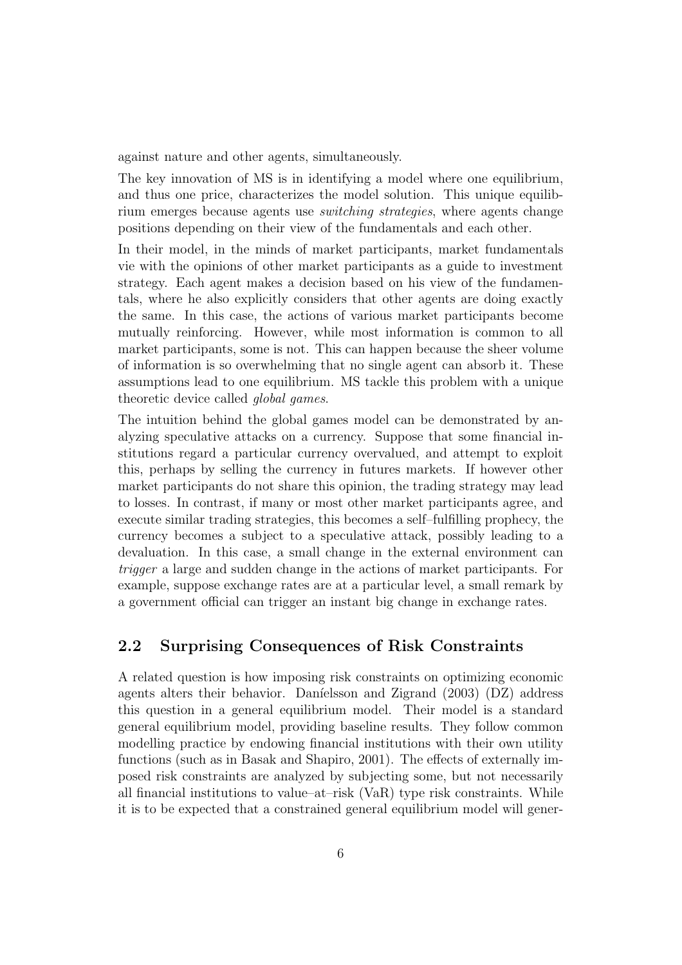against nature and other agents, simultaneously.

The key innovation of MS is in identifying a model where one equilibrium, and thus one price, characterizes the model solution. This unique equilibrium emerges because agents use *switching strategies*, where agents change positions depending on their view of the fundamentals and each other.

In their model, in the minds of market participants, market fundamentals vie with the opinions of other market participants as a guide to investment strategy. Each agent makes a decision based on his view of the fundamentals, where he also explicitly considers that other agents are doing exactly the same. In this case, the actions of various market participants become mutually reinforcing. However, while most information is common to all market participants, some is not. This can happen because the sheer volume of information is so overwhelming that no single agent can absorb it. These assumptions lead to one equilibrium. MS tackle this problem with a unique theoretic device called *global games*.

The intuition behind the global games model can be demonstrated by analyzing speculative attacks on a currency. Suppose that some financial institutions regard a particular currency overvalued, and attempt to exploit this, perhaps by selling the currency in futures markets. If however other market participants do not share this opinion, the trading strategy may lead to losses. In contrast, if many or most other market participants agree, and execute similar trading strategies, this becomes a self–fulfilling prophecy, the currency becomes a subject to a speculative attack, possibly leading to a devaluation. In this case, a small change in the external environment can *trigger* a large and sudden change in the actions of market participants. For example, suppose exchange rates are at a particular level, a small remark by a government official can trigger an instant big change in exchange rates.

#### **2.2 Surprising Consequences of Risk Constraints**

A related question is how imposing risk constraints on optimizing economic agents alters their behavior. Daníelsson and Zigrand (2003) (DZ) address this question in a general equilibrium model. Their model is a standard general equilibrium model, providing baseline results. They follow common modelling practice by endowing financial institutions with their own utility functions (such as in Basak and Shapiro, 2001). The effects of externally imposed risk constraints are analyzed by subjecting some, but not necessarily all financial institutions to value–at–risk (VaR) type risk constraints. While it is to be expected that a constrained general equilibrium model will gener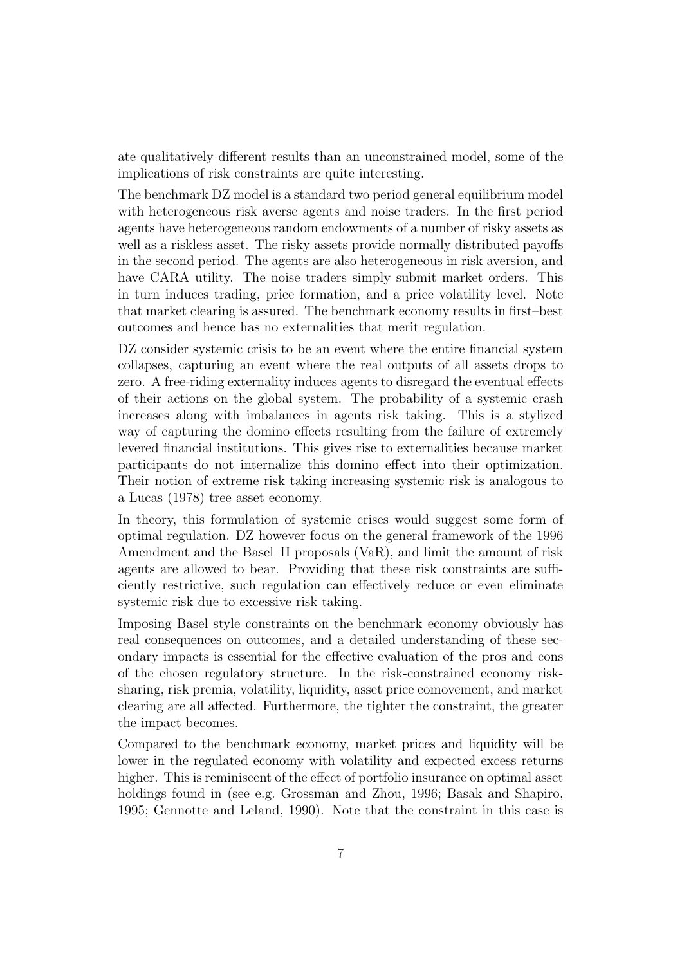ate qualitatively different results than an unconstrained model, some of the implications of risk constraints are quite interesting.

The benchmark DZ model is a standard two period general equilibrium model with heterogeneous risk averse agents and noise traders. In the first period agents have heterogeneous random endowments of a number of risky assets as well as a riskless asset. The risky assets provide normally distributed payoffs in the second period. The agents are also heterogeneous in risk aversion, and have CARA utility. The noise traders simply submit market orders. This in turn induces trading, price formation, and a price volatility level. Note that market clearing is assured. The benchmark economy results in first–best outcomes and hence has no externalities that merit regulation.

DZ consider systemic crisis to be an event where the entire financial system collapses, capturing an event where the real outputs of all assets drops to zero. A free-riding externality induces agents to disregard the eventual effects of their actions on the global system. The probability of a systemic crash increases along with imbalances in agents risk taking. This is a stylized way of capturing the domino effects resulting from the failure of extremely levered financial institutions. This gives rise to externalities because market participants do not internalize this domino effect into their optimization. Their notion of extreme risk taking increasing systemic risk is analogous to a Lucas (1978) tree asset economy.

In theory, this formulation of systemic crises would suggest some form of optimal regulation. DZ however focus on the general framework of the 1996 Amendment and the Basel–II proposals (VaR), and limit the amount of risk agents are allowed to bear. Providing that these risk constraints are sufficiently restrictive, such regulation can effectively reduce or even eliminate systemic risk due to excessive risk taking.

Imposing Basel style constraints on the benchmark economy obviously has real consequences on outcomes, and a detailed understanding of these secondary impacts is essential for the effective evaluation of the pros and cons of the chosen regulatory structure. In the risk-constrained economy risksharing, risk premia, volatility, liquidity, asset price comovement, and market clearing are all affected. Furthermore, the tighter the constraint, the greater the impact becomes.

Compared to the benchmark economy, market prices and liquidity will be lower in the regulated economy with volatility and expected excess returns higher. This is reminiscent of the effect of portfolio insurance on optimal asset holdings found in (see e.g. Grossman and Zhou, 1996; Basak and Shapiro, 1995; Gennotte and Leland, 1990). Note that the constraint in this case is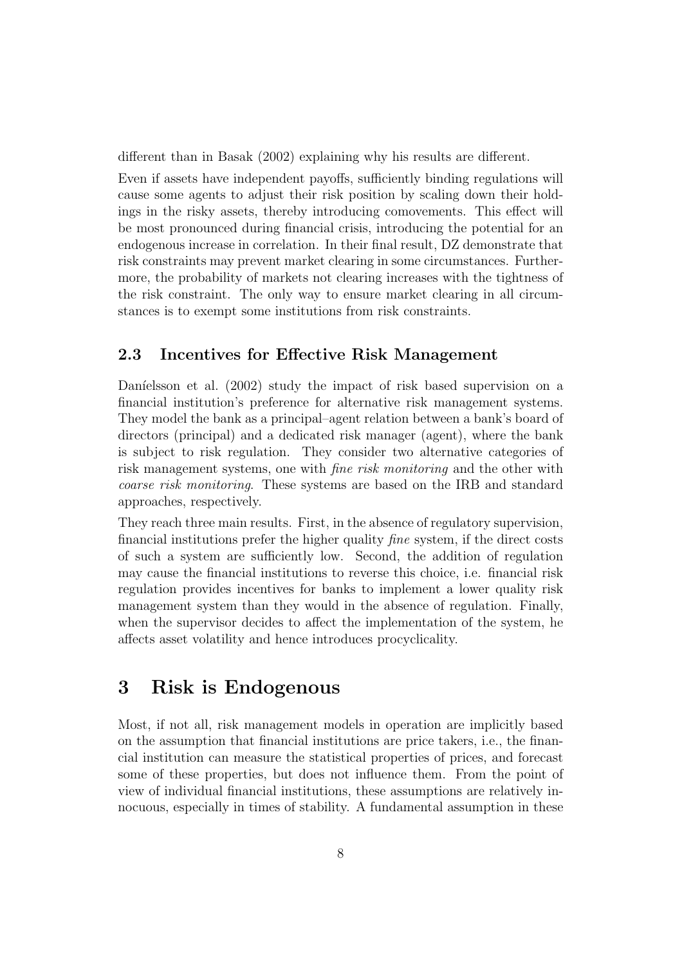different than in Basak (2002) explaining why his results are different.

Even if assets have independent payoffs, sufficiently binding regulations will cause some agents to adjust their risk position by scaling down their holdings in the risky assets, thereby introducing comovements. This effect will be most pronounced during financial crisis, introducing the potential for an endogenous increase in correlation. In their final result, DZ demonstrate that risk constraints may prevent market clearing in some circumstances. Furthermore, the probability of markets not clearing increases with the tightness of the risk constraint. The only way to ensure market clearing in all circumstances is to exempt some institutions from risk constraints.

### **2.3 Incentives for Effective Risk Management**

Daníelsson et al. (2002) study the impact of risk based supervision on a financial institution's preference for alternative risk management systems. They model the bank as a principal–agent relation between a bank's board of directors (principal) and a dedicated risk manager (agent), where the bank is subject to risk regulation. They consider two alternative categories of risk management systems, one with *fine risk monitoring* and the other with *coarse risk monitoring*. These systems are based on the IRB and standard approaches, respectively.

They reach three main results. First, in the absence of regulatory supervision, financial institutions prefer the higher quality *fine* system, if the direct costs of such a system are sufficiently low. Second, the addition of regulation may cause the financial institutions to reverse this choice, i.e. financial risk regulation provides incentives for banks to implement a lower quality risk management system than they would in the absence of regulation. Finally, when the supervisor decides to affect the implementation of the system, he affects asset volatility and hence introduces procyclicality.

### **3 Risk is Endogenous**

Most, if not all, risk management models in operation are implicitly based on the assumption that financial institutions are price takers, i.e., the financial institution can measure the statistical properties of prices, and forecast some of these properties, but does not influence them. From the point of view of individual financial institutions, these assumptions are relatively innocuous, especially in times of stability. A fundamental assumption in these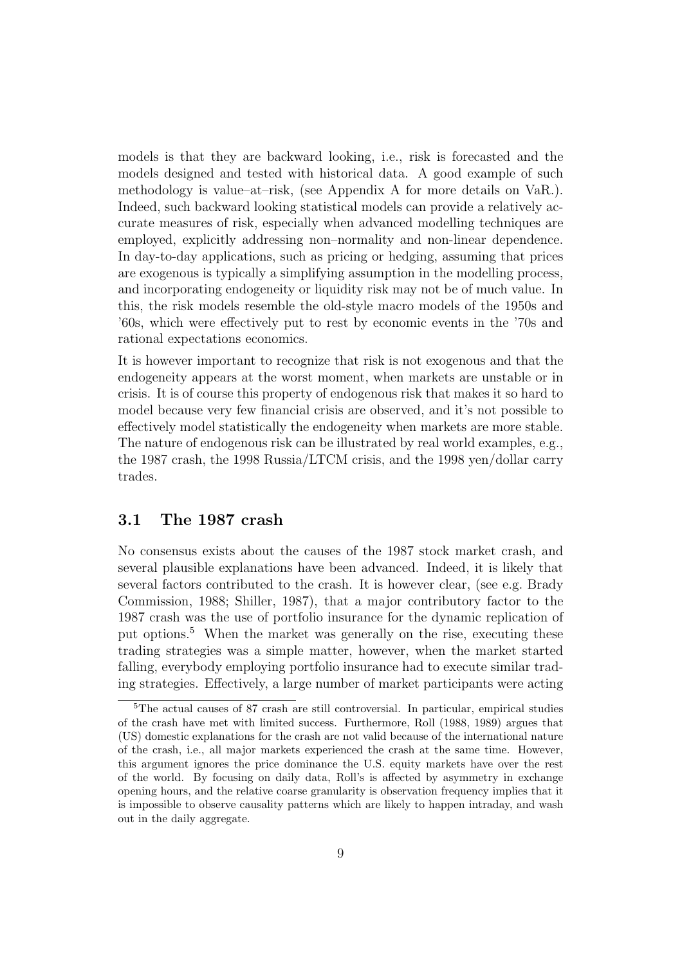models is that they are backward looking, i.e., risk is forecasted and the models designed and tested with historical data. A good example of such methodology is value–at–risk, (see Appendix A for more details on VaR.). Indeed, such backward looking statistical models can provide a relatively accurate measures of risk, especially when advanced modelling techniques are employed, explicitly addressing non–normality and non-linear dependence. In day-to-day applications, such as pricing or hedging, assuming that prices are exogenous is typically a simplifying assumption in the modelling process, and incorporating endogeneity or liquidity risk may not be of much value. In this, the risk models resemble the old-style macro models of the 1950s and '60s, which were effectively put to rest by economic events in the '70s and rational expectations economics.

It is however important to recognize that risk is not exogenous and that the endogeneity appears at the worst moment, when markets are unstable or in crisis. It is of course this property of endogenous risk that makes it so hard to model because very few financial crisis are observed, and it's not possible to effectively model statistically the endogeneity when markets are more stable. The nature of endogenous risk can be illustrated by real world examples, e.g., the 1987 crash, the 1998 Russia/LTCM crisis, and the 1998 yen/dollar carry trades.

### **3.1 The 1987 crash**

No consensus exists about the causes of the 1987 stock market crash, and several plausible explanations have been advanced. Indeed, it is likely that several factors contributed to the crash. It is however clear, (see e.g. Brady Commission, 1988; Shiller, 1987), that a major contributory factor to the 1987 crash was the use of portfolio insurance for the dynamic replication of put options.<sup>5</sup> When the market was generally on the rise, executing these trading strategies was a simple matter, however, when the market started falling, everybody employing portfolio insurance had to execute similar trading strategies. Effectively, a large number of market participants were acting

<sup>5</sup>The actual causes of 87 crash are still controversial. In particular, empirical studies of the crash have met with limited success. Furthermore, Roll (1988, 1989) argues that (US) domestic explanations for the crash are not valid because of the international nature of the crash, i.e., all major markets experienced the crash at the same time. However, this argument ignores the price dominance the U.S. equity markets have over the rest of the world. By focusing on daily data, Roll's is affected by asymmetry in exchange opening hours, and the relative coarse granularity is observation frequency implies that it is impossible to observe causality patterns which are likely to happen intraday, and wash out in the daily aggregate.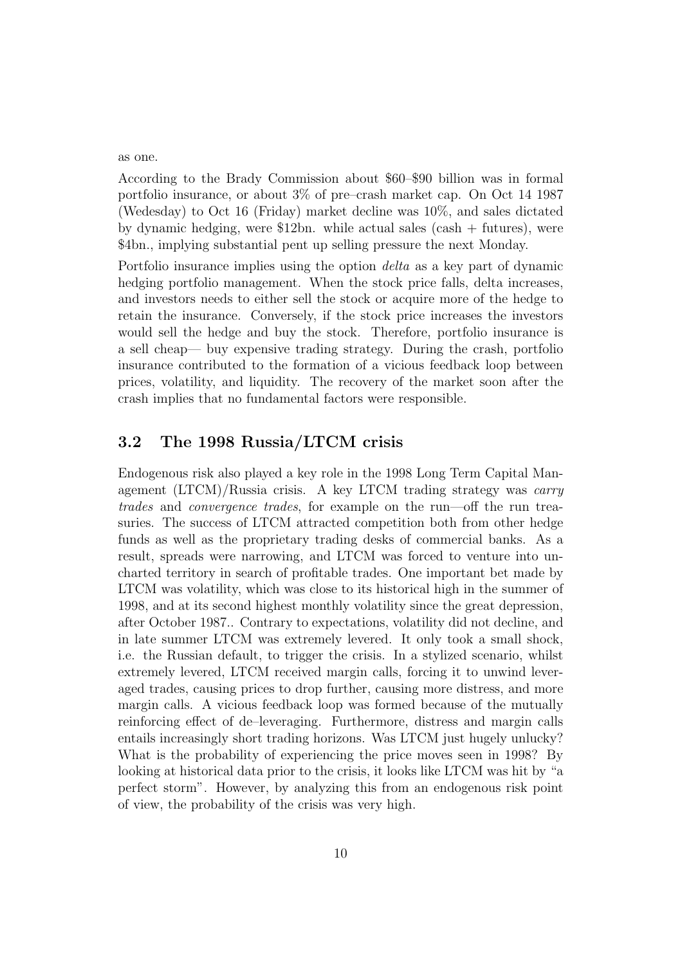#### as one.

According to the Brady Commission about \$60–\$90 billion was in formal portfolio insurance, or about 3% of pre–crash market cap. On Oct 14 1987 (Wedesday) to Oct 16 (Friday) market decline was 10%, and sales dictated by dynamic hedging, were \$12bn. while actual sales (cash + futures), were \$4bn., implying substantial pent up selling pressure the next Monday.

Portfolio insurance implies using the option *delta* as a key part of dynamic hedging portfolio management. When the stock price falls, delta increases, and investors needs to either sell the stock or acquire more of the hedge to retain the insurance. Conversely, if the stock price increases the investors would sell the hedge and buy the stock. Therefore, portfolio insurance is a sell cheap— buy expensive trading strategy. During the crash, portfolio insurance contributed to the formation of a vicious feedback loop between prices, volatility, and liquidity. The recovery of the market soon after the crash implies that no fundamental factors were responsible.

#### **3.2 The 1998 Russia/LTCM crisis**

Endogenous risk also played a key role in the 1998 Long Term Capital Management (LTCM)/Russia crisis. A key LTCM trading strategy was *carry trades* and *convergence trades*, for example on the run—off the run treasuries. The success of LTCM attracted competition both from other hedge funds as well as the proprietary trading desks of commercial banks. As a result, spreads were narrowing, and LTCM was forced to venture into uncharted territory in search of profitable trades. One important bet made by LTCM was volatility, which was close to its historical high in the summer of 1998, and at its second highest monthly volatility since the great depression, after October 1987.. Contrary to expectations, volatility did not decline, and in late summer LTCM was extremely levered. It only took a small shock, i.e. the Russian default, to trigger the crisis. In a stylized scenario, whilst extremely levered, LTCM received margin calls, forcing it to unwind leveraged trades, causing prices to drop further, causing more distress, and more margin calls. A vicious feedback loop was formed because of the mutually reinforcing effect of de–leveraging. Furthermore, distress and margin calls entails increasingly short trading horizons. Was LTCM just hugely unlucky? What is the probability of experiencing the price moves seen in 1998? By looking at historical data prior to the crisis, it looks like LTCM was hit by "a perfect storm". However, by analyzing this from an endogenous risk point of view, the probability of the crisis was very high.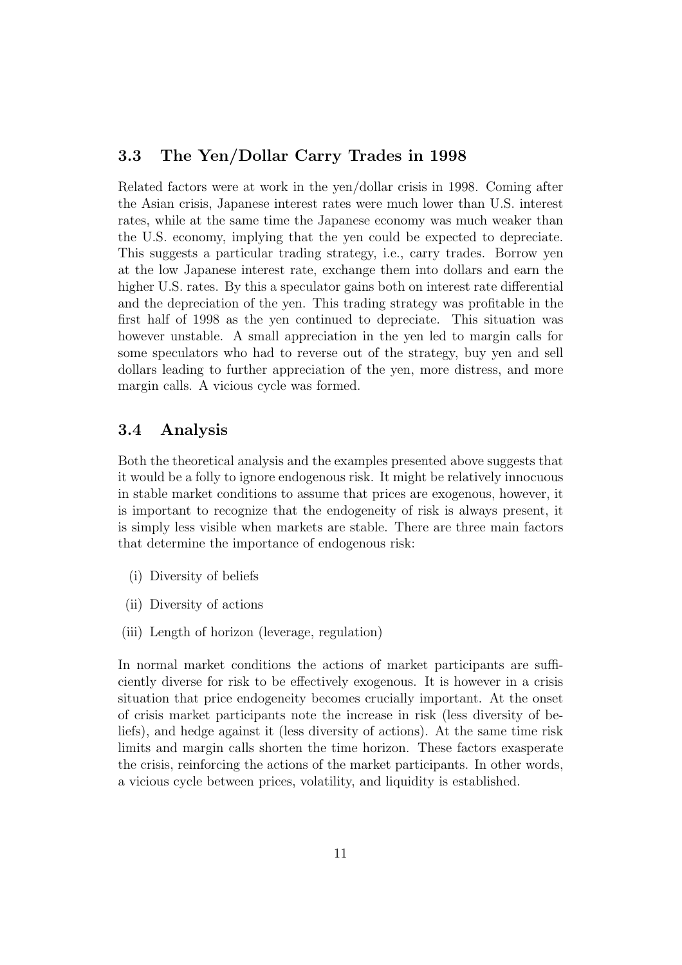### **3.3 The Yen/Dollar Carry Trades in 1998**

Related factors were at work in the yen/dollar crisis in 1998. Coming after the Asian crisis, Japanese interest rates were much lower than U.S. interest rates, while at the same time the Japanese economy was much weaker than the U.S. economy, implying that the yen could be expected to depreciate. This suggests a particular trading strategy, i.e., carry trades. Borrow yen at the low Japanese interest rate, exchange them into dollars and earn the higher U.S. rates. By this a speculator gains both on interest rate differential and the depreciation of the yen. This trading strategy was profitable in the first half of 1998 as the yen continued to depreciate. This situation was however unstable. A small appreciation in the yen led to margin calls for some speculators who had to reverse out of the strategy, buy yen and sell dollars leading to further appreciation of the yen, more distress, and more margin calls. A vicious cycle was formed.

#### **3.4 Analysis**

Both the theoretical analysis and the examples presented above suggests that it would be a folly to ignore endogenous risk. It might be relatively innocuous in stable market conditions to assume that prices are exogenous, however, it is important to recognize that the endogeneity of risk is always present, it is simply less visible when markets are stable. There are three main factors that determine the importance of endogenous risk:

- (i) Diversity of beliefs
- (ii) Diversity of actions
- (iii) Length of horizon (leverage, regulation)

In normal market conditions the actions of market participants are sufficiently diverse for risk to be effectively exogenous. It is however in a crisis situation that price endogeneity becomes crucially important. At the onset of crisis market participants note the increase in risk (less diversity of beliefs), and hedge against it (less diversity of actions). At the same time risk limits and margin calls shorten the time horizon. These factors exasperate the crisis, reinforcing the actions of the market participants. In other words, a vicious cycle between prices, volatility, and liquidity is established.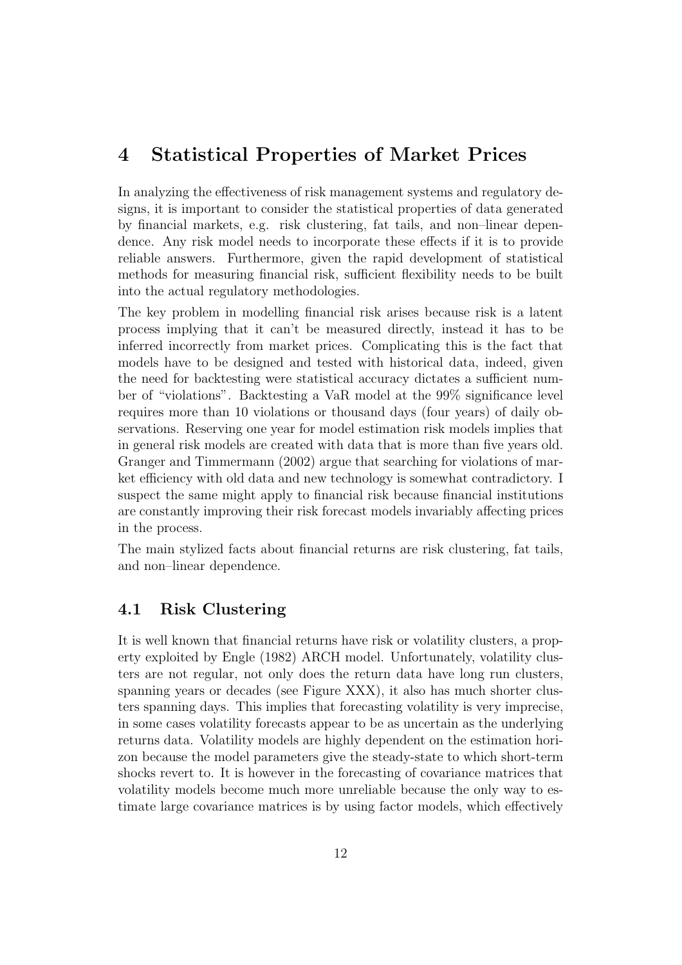### **4 Statistical Properties of Market Prices**

In analyzing the effectiveness of risk management systems and regulatory designs, it is important to consider the statistical properties of data generated by financial markets, e.g. risk clustering, fat tails, and non–linear dependence. Any risk model needs to incorporate these effects if it is to provide reliable answers. Furthermore, given the rapid development of statistical methods for measuring financial risk, sufficient flexibility needs to be built into the actual regulatory methodologies.

The key problem in modelling financial risk arises because risk is a latent process implying that it can't be measured directly, instead it has to be inferred incorrectly from market prices. Complicating this is the fact that models have to be designed and tested with historical data, indeed, given the need for backtesting were statistical accuracy dictates a sufficient number of "violations". Backtesting a VaR model at the 99% significance level requires more than 10 violations or thousand days (four years) of daily observations. Reserving one year for model estimation risk models implies that in general risk models are created with data that is more than five years old. Granger and Timmermann (2002) argue that searching for violations of market efficiency with old data and new technology is somewhat contradictory. I suspect the same might apply to financial risk because financial institutions are constantly improving their risk forecast models invariably affecting prices in the process.

The main stylized facts about financial returns are risk clustering, fat tails, and non–linear dependence.

### **4.1 Risk Clustering**

It is well known that financial returns have risk or volatility clusters, a property exploited by Engle (1982) ARCH model. Unfortunately, volatility clusters are not regular, not only does the return data have long run clusters, spanning years or decades (see Figure XXX), it also has much shorter clusters spanning days. This implies that forecasting volatility is very imprecise, in some cases volatility forecasts appear to be as uncertain as the underlying returns data. Volatility models are highly dependent on the estimation horizon because the model parameters give the steady-state to which short-term shocks revert to. It is however in the forecasting of covariance matrices that volatility models become much more unreliable because the only way to estimate large covariance matrices is by using factor models, which effectively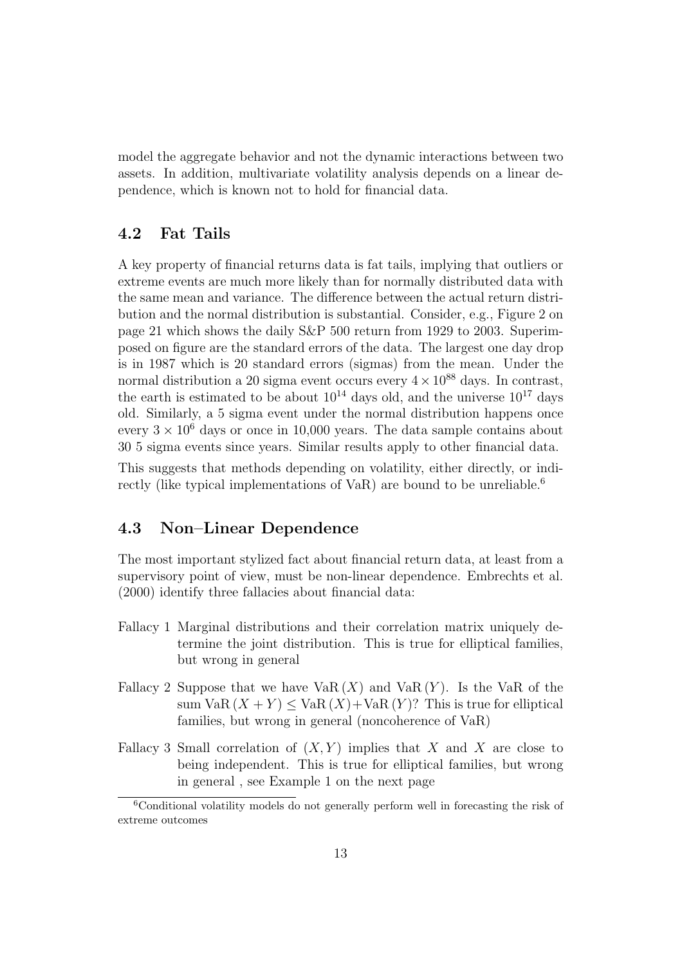model the aggregate behavior and not the dynamic interactions between two assets. In addition, multivariate volatility analysis depends on a linear dependence, which is known not to hold for financial data.

### **4.2 Fat Tails**

A key property of financial returns data is fat tails, implying that outliers or extreme events are much more likely than for normally distributed data with the same mean and variance. The difference between the actual return distribution and the normal distribution is substantial. Consider, e.g., Figure 2 on page 21 which shows the daily S&P 500 return from 1929 to 2003. Superimposed on figure are the standard errors of the data. The largest one day drop is in 1987 which is 20 standard errors (sigmas) from the mean. Under the normal distribution a 20 sigma event occurs every  $4 \times 10^{88}$  days. In contrast, the earth is estimated to be about  $10^{14}$  days old, and the universe  $10^{17}$  days old. Similarly, a 5 sigma event under the normal distribution happens once every  $3 \times 10^6$  days or once in 10,000 years. The data sample contains about 30 5 sigma events since years. Similar results apply to other financial data.

This suggests that methods depending on volatility, either directly, or indirectly (like typical implementations of VaR) are bound to be unreliable.<sup>6</sup>

### **4.3 Non–Linear Dependence**

The most important stylized fact about financial return data, at least from a supervisory point of view, must be non-linear dependence. Embrechts et al. (2000) identify three fallacies about financial data:

- Fallacy 1 Marginal distributions and their correlation matrix uniquely determine the joint distribution. This is true for elliptical families, but wrong in general
- Fallacy 2 Suppose that we have  $VaR(X)$  and  $VaR(Y)$ . Is the VaR of the sum VaR  $(X + Y) \leq$  VaR  $(X)$  + VaR  $(Y)$ ? This is true for elliptical families, but wrong in general (noncoherence of VaR)
- Fallacy 3 Small correlation of  $(X, Y)$  implies that X and X are close to being independent. This is true for elliptical families, but wrong in general , see Example 1 on the next page

<sup>6</sup>Conditional volatility models do not generally perform well in forecasting the risk of extreme outcomes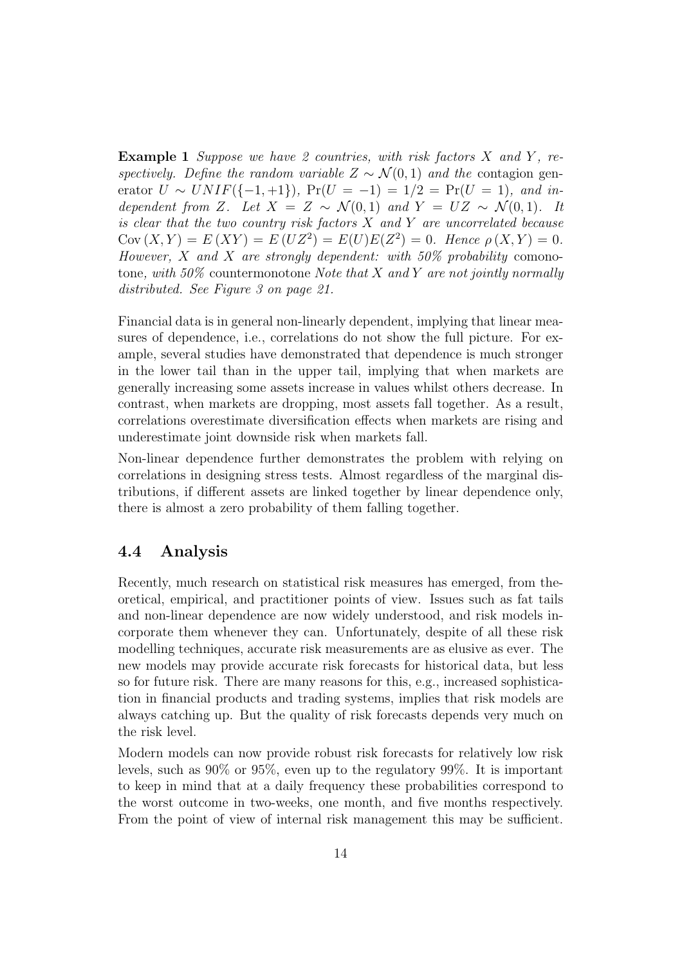**Example 1** *Suppose we have 2 countries, with risk factors* X and Y, re*spectively. Define the random variable*  $Z \sim \mathcal{N}(0, 1)$  *and the* contagion generator  $U \sim UNIF(\{-1,+1\})$ ,  $Pr(U = -1) = 1/2 = Pr(U = 1)$ , and in*dependent from* Z. Let  $X = Z \sim \mathcal{N}(0, 1)$  and  $Y = UZ \sim \mathcal{N}(0, 1)$ . It *is clear that the two country risk factors* X *and* Y *are uncorrelated because*  $Cov(X, Y) = E(XY) = E(UZ^2) = E(U)E(Z^2) = 0$ *. Hence*  $\rho(X, Y) = 0$ *. However,* X *and* X *are strongly dependent: with 50% probability* comonotone*, with 50%* countermonotone *Note that* X *and* Y *are not jointly normally distributed. See Figure 3 on page 21.*

Financial data is in general non-linearly dependent, implying that linear measures of dependence, i.e., correlations do not show the full picture. For example, several studies have demonstrated that dependence is much stronger in the lower tail than in the upper tail, implying that when markets are generally increasing some assets increase in values whilst others decrease. In contrast, when markets are dropping, most assets fall together. As a result, correlations overestimate diversification effects when markets are rising and underestimate joint downside risk when markets fall.

Non-linear dependence further demonstrates the problem with relying on correlations in designing stress tests. Almost regardless of the marginal distributions, if different assets are linked together by linear dependence only, there is almost a zero probability of them falling together.

### **4.4 Analysis**

Recently, much research on statistical risk measures has emerged, from theoretical, empirical, and practitioner points of view. Issues such as fat tails and non-linear dependence are now widely understood, and risk models incorporate them whenever they can. Unfortunately, despite of all these risk modelling techniques, accurate risk measurements are as elusive as ever. The new models may provide accurate risk forecasts for historical data, but less so for future risk. There are many reasons for this, e.g., increased sophistication in financial products and trading systems, implies that risk models are always catching up. But the quality of risk forecasts depends very much on the risk level.

Modern models can now provide robust risk forecasts for relatively low risk levels, such as 90% or 95%, even up to the regulatory 99%. It is important to keep in mind that at a daily frequency these probabilities correspond to the worst outcome in two-weeks, one month, and five months respectively. From the point of view of internal risk management this may be sufficient.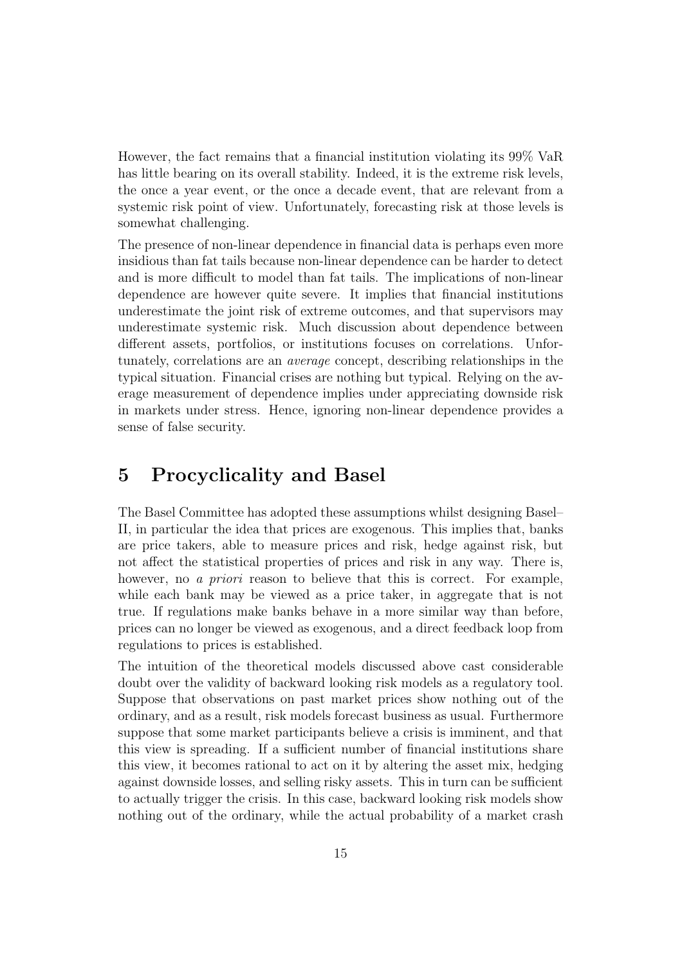However, the fact remains that a financial institution violating its 99% VaR has little bearing on its overall stability. Indeed, it is the extreme risk levels, the once a year event, or the once a decade event, that are relevant from a systemic risk point of view. Unfortunately, forecasting risk at those levels is somewhat challenging.

The presence of non-linear dependence in financial data is perhaps even more insidious than fat tails because non-linear dependence can be harder to detect and is more difficult to model than fat tails. The implications of non-linear dependence are however quite severe. It implies that financial institutions underestimate the joint risk of extreme outcomes, and that supervisors may underestimate systemic risk. Much discussion about dependence between different assets, portfolios, or institutions focuses on correlations. Unfortunately, correlations are an *average* concept, describing relationships in the typical situation. Financial crises are nothing but typical. Relying on the average measurement of dependence implies under appreciating downside risk in markets under stress. Hence, ignoring non-linear dependence provides a sense of false security.

### **5 Procyclicality and Basel**

The Basel Committee has adopted these assumptions whilst designing Basel– II, in particular the idea that prices are exogenous. This implies that, banks are price takers, able to measure prices and risk, hedge against risk, but not affect the statistical properties of prices and risk in any way. There is, however, no *a priori* reason to believe that this is correct. For example, while each bank may be viewed as a price taker, in aggregate that is not true. If regulations make banks behave in a more similar way than before, prices can no longer be viewed as exogenous, and a direct feedback loop from regulations to prices is established.

The intuition of the theoretical models discussed above cast considerable doubt over the validity of backward looking risk models as a regulatory tool. Suppose that observations on past market prices show nothing out of the ordinary, and as a result, risk models forecast business as usual. Furthermore suppose that some market participants believe a crisis is imminent, and that this view is spreading. If a sufficient number of financial institutions share this view, it becomes rational to act on it by altering the asset mix, hedging against downside losses, and selling risky assets. This in turn can be sufficient to actually trigger the crisis. In this case, backward looking risk models show nothing out of the ordinary, while the actual probability of a market crash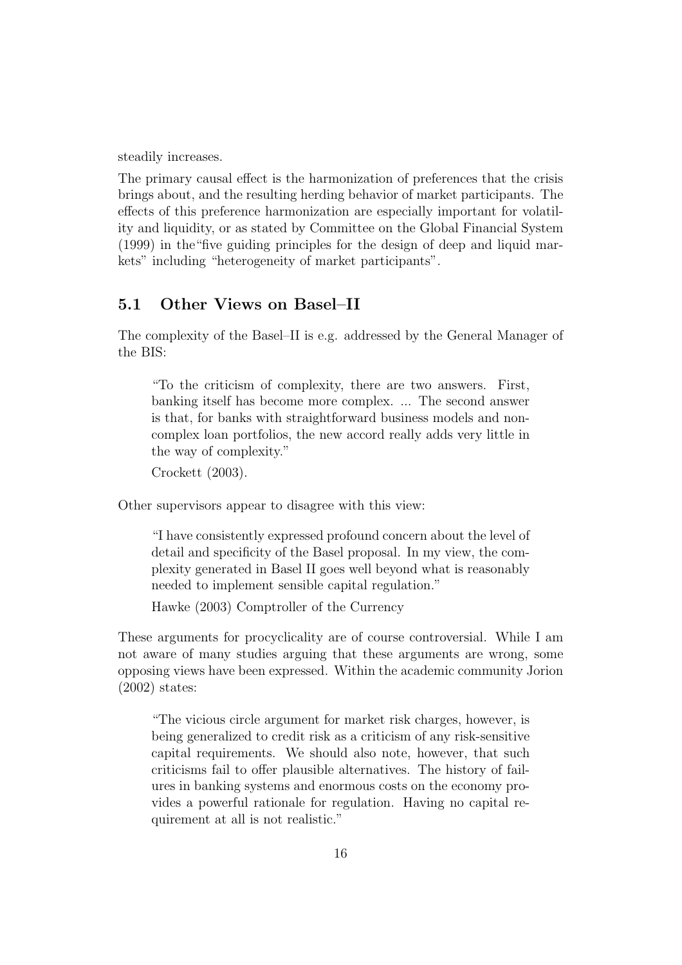steadily increases.

The primary causal effect is the harmonization of preferences that the crisis brings about, and the resulting herding behavior of market participants. The effects of this preference harmonization are especially important for volatility and liquidity, or as stated by Committee on the Global Financial System (1999) in the"five guiding principles for the design of deep and liquid markets" including "heterogeneity of market participants".

### **5.1 Other Views on Basel–II**

The complexity of the Basel–II is e.g. addressed by the General Manager of the BIS:

"To the criticism of complexity, there are two answers. First, banking itself has become more complex. ... The second answer is that, for banks with straightforward business models and noncomplex loan portfolios, the new accord really adds very little in the way of complexity."

Crockett (2003).

Other supervisors appear to disagree with this view:

"I have consistently expressed profound concern about the level of detail and specificity of the Basel proposal. In my view, the complexity generated in Basel II goes well beyond what is reasonably needed to implement sensible capital regulation."

Hawke (2003) Comptroller of the Currency

These arguments for procyclicality are of course controversial. While I am not aware of many studies arguing that these arguments are wrong, some opposing views have been expressed. Within the academic community Jorion (2002) states:

"The vicious circle argument for market risk charges, however, is being generalized to credit risk as a criticism of any risk-sensitive capital requirements. We should also note, however, that such criticisms fail to offer plausible alternatives. The history of failures in banking systems and enormous costs on the economy provides a powerful rationale for regulation. Having no capital requirement at all is not realistic."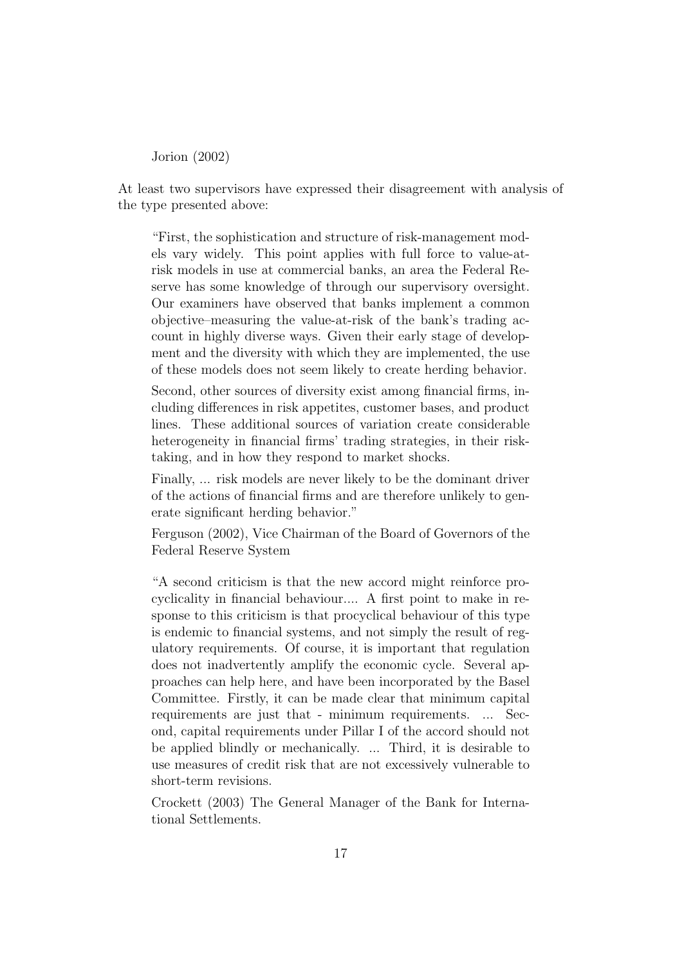Jorion (2002)

At least two supervisors have expressed their disagreement with analysis of the type presented above:

"First, the sophistication and structure of risk-management models vary widely. This point applies with full force to value-atrisk models in use at commercial banks, an area the Federal Reserve has some knowledge of through our supervisory oversight. Our examiners have observed that banks implement a common objective–measuring the value-at-risk of the bank's trading account in highly diverse ways. Given their early stage of development and the diversity with which they are implemented, the use of these models does not seem likely to create herding behavior.

Second, other sources of diversity exist among financial firms, including differences in risk appetites, customer bases, and product lines. These additional sources of variation create considerable heterogeneity in financial firms' trading strategies, in their risktaking, and in how they respond to market shocks.

Finally, ... risk models are never likely to be the dominant driver of the actions of financial firms and are therefore unlikely to generate significant herding behavior."

Ferguson (2002), Vice Chairman of the Board of Governors of the Federal Reserve System

"A second criticism is that the new accord might reinforce procyclicality in financial behaviour.... A first point to make in response to this criticism is that procyclical behaviour of this type is endemic to financial systems, and not simply the result of regulatory requirements. Of course, it is important that regulation does not inadvertently amplify the economic cycle. Several approaches can help here, and have been incorporated by the Basel Committee. Firstly, it can be made clear that minimum capital requirements are just that - minimum requirements. ... Second, capital requirements under Pillar I of the accord should not be applied blindly or mechanically. ... Third, it is desirable to use measures of credit risk that are not excessively vulnerable to short-term revisions.

Crockett (2003) The General Manager of the Bank for International Settlements.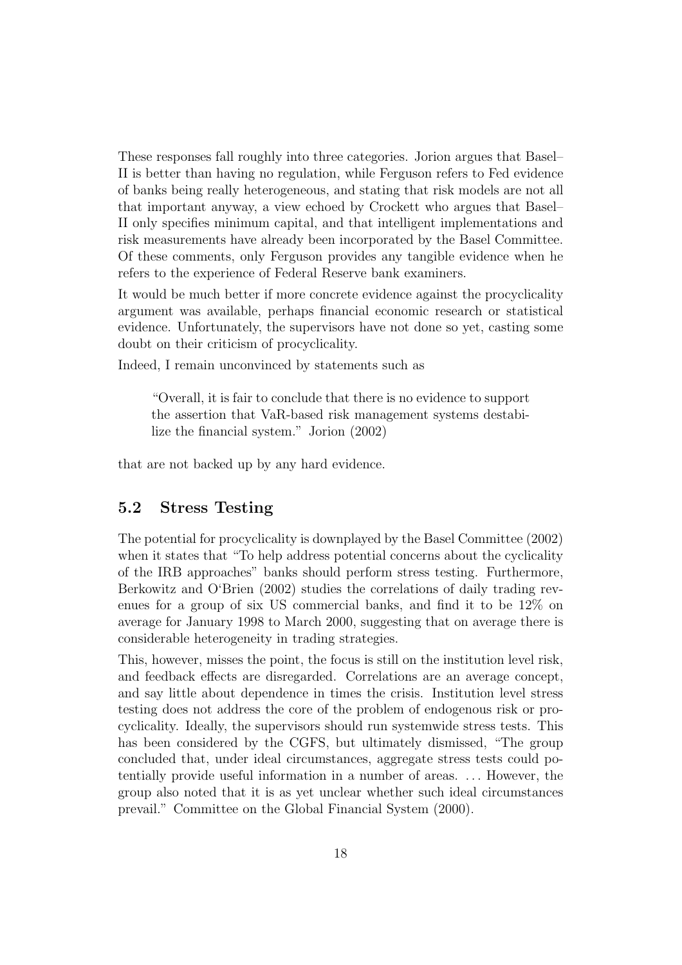These responses fall roughly into three categories. Jorion argues that Basel– II is better than having no regulation, while Ferguson refers to Fed evidence of banks being really heterogeneous, and stating that risk models are not all that important anyway, a view echoed by Crockett who argues that Basel– II only specifies minimum capital, and that intelligent implementations and risk measurements have already been incorporated by the Basel Committee. Of these comments, only Ferguson provides any tangible evidence when he refers to the experience of Federal Reserve bank examiners.

It would be much better if more concrete evidence against the procyclicality argument was available, perhaps financial economic research or statistical evidence. Unfortunately, the supervisors have not done so yet, casting some doubt on their criticism of procyclicality.

Indeed, I remain unconvinced by statements such as

"Overall, it is fair to conclude that there is no evidence to support the assertion that VaR-based risk management systems destabilize the financial system." Jorion (2002)

that are not backed up by any hard evidence.

### **5.2 Stress Testing**

The potential for procyclicality is downplayed by the Basel Committee (2002) when it states that "To help address potential concerns about the cyclicality of the IRB approaches" banks should perform stress testing. Furthermore, Berkowitz and O'Brien (2002) studies the correlations of daily trading revenues for a group of six US commercial banks, and find it to be 12% on average for January 1998 to March 2000, suggesting that on average there is considerable heterogeneity in trading strategies.

This, however, misses the point, the focus is still on the institution level risk, and feedback effects are disregarded. Correlations are an average concept, and say little about dependence in times the crisis. Institution level stress testing does not address the core of the problem of endogenous risk or procyclicality. Ideally, the supervisors should run systemwide stress tests. This has been considered by the CGFS, but ultimately dismissed, "The group concluded that, under ideal circumstances, aggregate stress tests could potentially provide useful information in a number of areas. ... However, the group also noted that it is as yet unclear whether such ideal circumstances prevail." Committee on the Global Financial System (2000).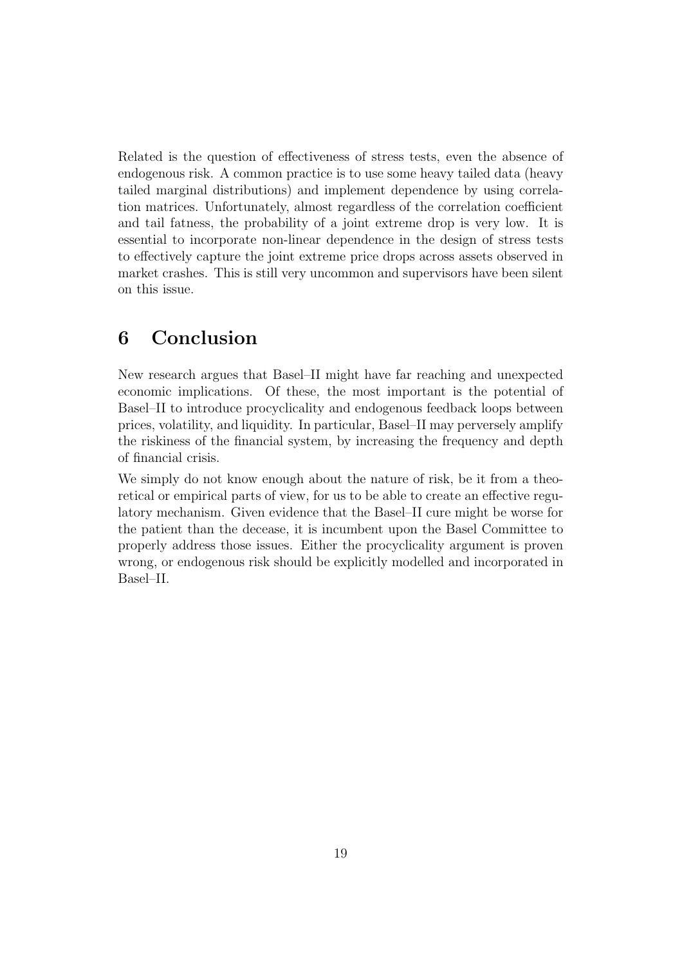Related is the question of effectiveness of stress tests, even the absence of endogenous risk. A common practice is to use some heavy tailed data (heavy tailed marginal distributions) and implement dependence by using correlation matrices. Unfortunately, almost regardless of the correlation coefficient and tail fatness, the probability of a joint extreme drop is very low. It is essential to incorporate non-linear dependence in the design of stress tests to effectively capture the joint extreme price drops across assets observed in market crashes. This is still very uncommon and supervisors have been silent on this issue.

## **6 Conclusion**

New research argues that Basel–II might have far reaching and unexpected economic implications. Of these, the most important is the potential of Basel–II to introduce procyclicality and endogenous feedback loops between prices, volatility, and liquidity. In particular, Basel–II may perversely amplify the riskiness of the financial system, by increasing the frequency and depth of financial crisis.

We simply do not know enough about the nature of risk, be it from a theoretical or empirical parts of view, for us to be able to create an effective regulatory mechanism. Given evidence that the Basel–II cure might be worse for the patient than the decease, it is incumbent upon the Basel Committee to properly address those issues. Either the procyclicality argument is proven wrong, or endogenous risk should be explicitly modelled and incorporated in Basel–II.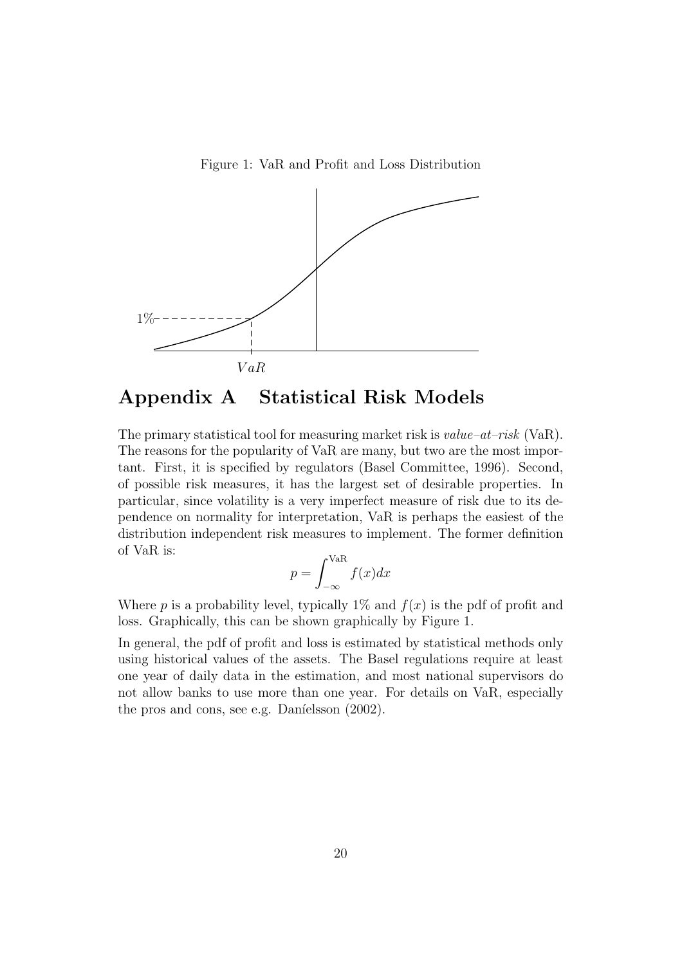Figure 1: VaR and Profit and Loss Distribution



## **Appendix A Statistical Risk Models**

The primary statistical tool for measuring market risk is *value–at–risk* (VaR). The reasons for the popularity of VaR are many, but two are the most important. First, it is specified by regulators (Basel Committee, 1996). Second, of possible risk measures, it has the largest set of desirable properties. In particular, since volatility is a very imperfect measure of risk due to its dependence on normality for interpretation, VaR is perhaps the easiest of the distribution independent risk measures to implement. The former definition of VaR is:

$$
p = \int_{-\infty}^{\text{VaR}} f(x) dx
$$

Where p is a probability level, typically 1\% and  $f(x)$  is the pdf of profit and loss. Graphically, this can be shown graphically by Figure 1.

In general, the pdf of profit and loss is estimated by statistical methods only using historical values of the assets. The Basel regulations require at least one year of daily data in the estimation, and most national supervisors do not allow banks to use more than one year. For details on VaR, especially the pros and cons, see e.g. Daníelsson  $(2002)$ .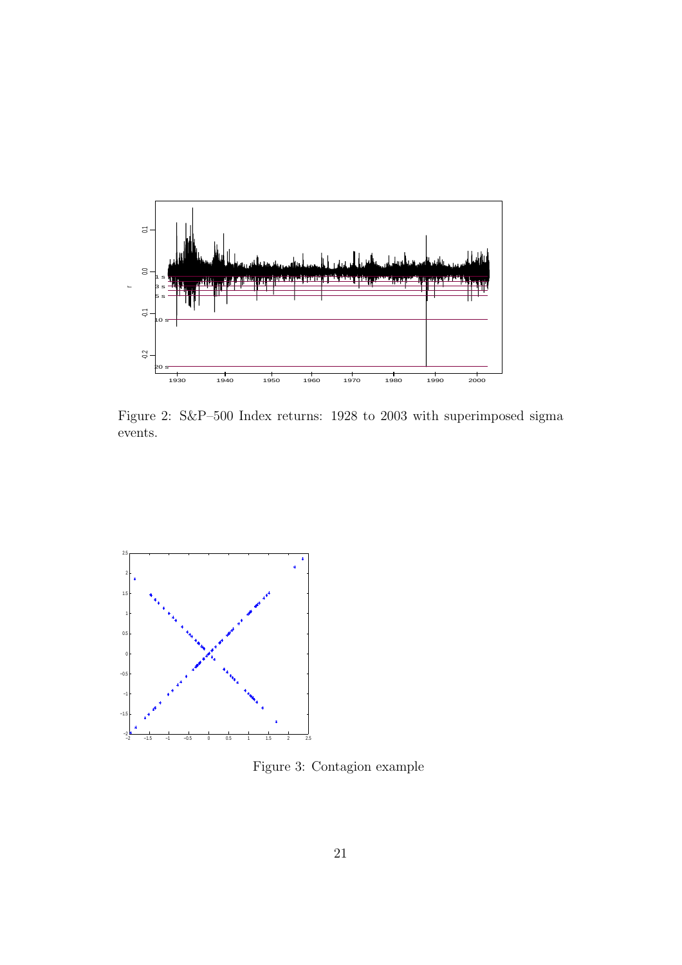

Figure 2: S&P–500 Index returns: 1928 to 2003 with superimposed sigma events.



Figure 3: Contagion example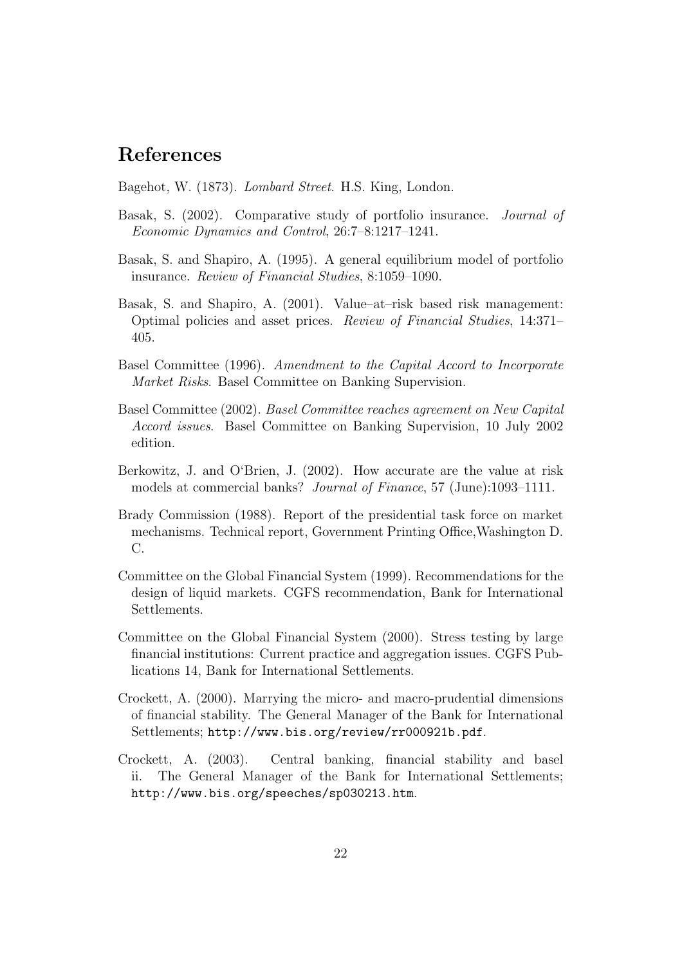### **References**

Bagehot, W. (1873). *Lombard Street*. H.S. King, London.

- Basak, S. (2002). Comparative study of portfolio insurance. *Journal of Economic Dynamics and Control*, 26:7–8:1217–1241.
- Basak, S. and Shapiro, A. (1995). A general equilibrium model of portfolio insurance. *Review of Financial Studies*, 8:1059–1090.
- Basak, S. and Shapiro, A. (2001). Value–at–risk based risk management: Optimal policies and asset prices. *Review of Financial Studies*, 14:371– 405.
- Basel Committee (1996). *Amendment to the Capital Accord to Incorporate Market Risks*. Basel Committee on Banking Supervision.
- Basel Committee (2002). *Basel Committee reaches agreement on New Capital Accord issues*. Basel Committee on Banking Supervision, 10 July 2002 edition.
- Berkowitz, J. and O'Brien, J. (2002). How accurate are the value at risk models at commercial banks? *Journal of Finance*, 57 (June):1093–1111.
- Brady Commission (1988). Report of the presidential task force on market mechanisms. Technical report, Government Printing Office,Washington D. C.
- Committee on the Global Financial System (1999). Recommendations for the design of liquid markets. CGFS recommendation, Bank for International Settlements.
- Committee on the Global Financial System (2000). Stress testing by large financial institutions: Current practice and aggregation issues. CGFS Publications 14, Bank for International Settlements.
- Crockett, A. (2000). Marrying the micro- and macro-prudential dimensions of financial stability. The General Manager of the Bank for International Settlements; http://www.bis.org/review/rr000921b.pdf.
- Crockett, A. (2003). Central banking, financial stability and basel ii. The General Manager of the Bank for International Settlements; http://www.bis.org/speeches/sp030213.htm.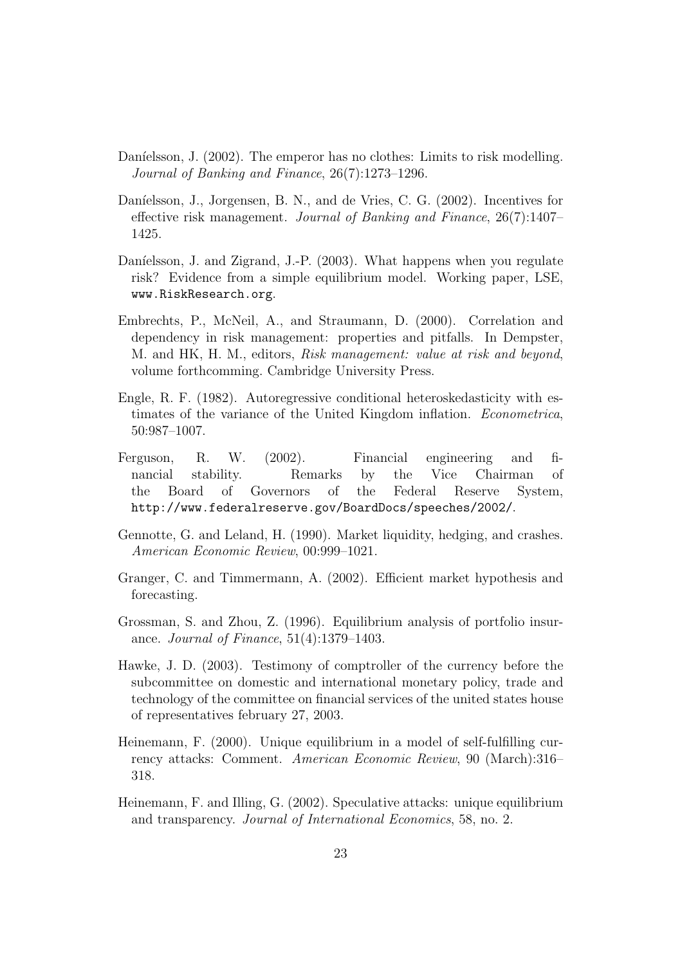- Daníelsson, J. (2002). The emperor has no clothes: Limits to risk modelling. *Journal of Banking and Finance*, 26(7):1273–1296.
- Daníelsson, J., Jorgensen, B. N., and de Vries, C. G. (2002). Incentives for effective risk management. *Journal of Banking and Finance*, 26(7):1407– 1425.
- Daníelsson, J. and Zigrand, J.-P. (2003). What happens when you regulate risk? Evidence from a simple equilibrium model. Working paper, LSE, www.RiskResearch.org.
- Embrechts, P., McNeil, A., and Straumann, D. (2000). Correlation and dependency in risk management: properties and pitfalls. In Dempster, M. and HK, H. M., editors, *Risk management: value at risk and beyond*, volume forthcomming. Cambridge University Press.
- Engle, R. F. (1982). Autoregressive conditional heteroskedasticity with estimates of the variance of the United Kingdom inflation. *Econometrica*, 50:987–1007.
- Ferguson, R. W. (2002). Financial engineering and financial stability. Remarks by the Vice Chairman of the Board of Governors of the Federal Reserve System, http://www.federalreserve.gov/BoardDocs/speeches/2002/.
- Gennotte, G. and Leland, H. (1990). Market liquidity, hedging, and crashes. *American Economic Review*, 00:999–1021.
- Granger, C. and Timmermann, A. (2002). Efficient market hypothesis and forecasting.
- Grossman, S. and Zhou, Z. (1996). Equilibrium analysis of portfolio insurance. *Journal of Finance*, 51(4):1379–1403.
- Hawke, J. D. (2003). Testimony of comptroller of the currency before the subcommittee on domestic and international monetary policy, trade and technology of the committee on financial services of the united states house of representatives february 27, 2003.
- Heinemann, F. (2000). Unique equilibrium in a model of self-fulfilling currency attacks: Comment. *American Economic Review*, 90 (March):316– 318.
- Heinemann, F. and Illing, G. (2002). Speculative attacks: unique equilibrium and transparency. *Journal of International Economics*, 58, no. 2.